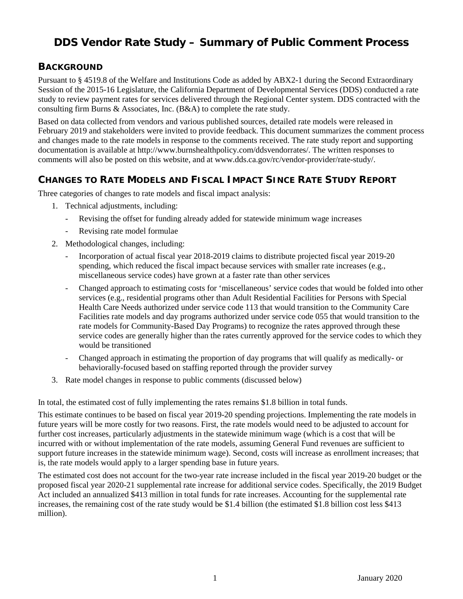# **DDS Vendor Rate Study – Summary of Public Comment Process**

#### **BACKGROUND**

Pursuant to § 4519.8 of the Welfare and Institutions Code as added by ABX2-1 during the Second Extraordinary Session of the 2015-16 Legislature, the California Department of Developmental Services (DDS) conducted a rate study to review payment rates for services delivered through the Regional Center system. DDS contracted with the consulting firm Burns & Associates, Inc. (B&A) to complete the rate study.

Based on data collected from vendors and various published sources, detailed rate models were released in February 2019 and stakeholders were invited to provide feedback. This document summarizes the comment process and changes made to the rate models in response to the comments received. The rate study report and supporting documentation is available at http://www.burnshealthpolicy.com/ddsvendorrates/. The written responses to comments will also be posted on this website, and at www.dds.ca.gov/rc/vendor-provider/rate-study/.

## **CHANGES TO RATE MODELS AND FISCAL IMPACT SINCE RATE STUDY REPORT**

Three categories of changes to rate models and fiscal impact analysis:

- 1. Technical adjustments, including:
	- Revising the offset for funding already added for statewide minimum wage increases
	- Revising rate model formulae
- 2. Methodological changes, including:
	- Incorporation of actual fiscal year 2018-2019 claims to distribute projected fiscal year 2019-20 spending, which reduced the fiscal impact because services with smaller rate increases (e.g., miscellaneous service codes) have grown at a faster rate than other services
	- Changed approach to estimating costs for 'miscellaneous' service codes that would be folded into other services (e.g., residential programs other than Adult Residential Facilities for Persons with Special Health Care Needs authorized under service code 113 that would transition to the Community Care Facilities rate models and day programs authorized under service code 055 that would transition to the rate models for Community-Based Day Programs) to recognize the rates approved through these service codes are generally higher than the rates currently approved for the service codes to which they would be transitioned
	- Changed approach in estimating the proportion of day programs that will qualify as medically- or behaviorally-focused based on staffing reported through the provider survey
- 3. Rate model changes in response to public comments (discussed below)

In total, the estimated cost of fully implementing the rates remains \$1.8 billion in total funds.

This estimate continues to be based on fiscal year 2019-20 spending projections. Implementing the rate models in future years will be more costly for two reasons. First, the rate models would need to be adjusted to account for further cost increases, particularly adjustments in the statewide minimum wage (which is a cost that will be incurred with or without implementation of the rate models, assuming General Fund revenues are sufficient to support future increases in the statewide minimum wage). Second, costs will increase as enrollment increases; that is, the rate models would apply to a larger spending base in future years.

The estimated cost does not account for the two-year rate increase included in the fiscal year 2019-20 budget or the proposed fiscal year 2020-21 supplemental rate increase for additional service codes. Specifically, the 2019 Budget Act included an annualized \$413 million in total funds for rate increases. Accounting for the supplemental rate increases, the remaining cost of the rate study would be \$1.4 billion (the estimated \$1.8 billion cost less \$413 million).